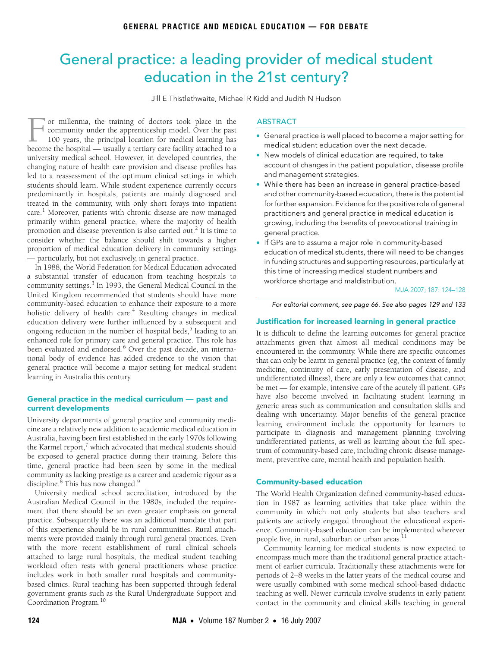# <span id="page-0-0"></span>General practice: a leading provider of medical student education in the 21st century?

Jill E Thistlethwaite, Michael R Kidd and Judith N Hudson

students should learn. While student experience currently occurs predominantly in hospitals, patients are mainly diagnosed and<br>treated in the community, with only short forays into inpatient  $\alpha$  in the community, with only short loral care.<sup>1</sup> Moreover, patients with chronic disease are now managed primarily within general practice, where the majority of health promotion and disease prevention is also carried out.<sup>2</sup> It is time to or millennia, the training of doctors took place in the community under the apprenticeship model. Over the past 100 years, the principal location for medical learning has For millennia, the training of doctors took place in the community under the apprenticeship model. Over the past 100 years, the principal location for medical learning has become the hospital — usually a tertiary care faci university medical school. However, in developed countries, the changing nature of health care provision and disease profiles has led to a reassessment of the optimum clinical settings in which predominantly in hospitals, [pati](#page-0-0)[ents](#page-4-0) are mainly diagnosed and consider whether the balance should shift towards a higher proportion of medical education delivery in community settings — particularly, but not exclusively, in general practice.

In 1988, the World Federation for Medical Education advocated a substantial transfer of education from teaching hospitals to community settings.<sup>3</sup> In 1993, the General Medical Council in the United Kingdom recommended that students should have more community-based education to enhance their exposure to a more holistic delivery of health care.<sup>4</sup> Resulting changes in medical education delivery were further influenced by a subsequent and ongoing reduction in the number of hospital beds,<sup>5</sup> leading to an enhanced role for primary care and general practice. This role has been evaluated and endorsed.<sup>6</sup> Over the past decade, an international body of evidence has added credence to the vision that general practice will become a major setting for medical student learning in Australia this century.

### General practice in the medical curriculum — past and current developments

University departments of general practice and community medicine are a relatively new addition to academic medical education in Australia, having been first established in the early 1970s following the Karmel report, $^7$  which advocated that medical students should be exposed to general practice during their training. Before this time, general practice had been seen by some in the medical community as lacking prestige as a career and academic rigour as a discipline.<sup>[8](#page-3-0)</sup> This has now changed.<sup>9</sup>

University medical school accreditation, introduced by the Australian Medical Council in the 1980s, included the requirement that there should be an even greater emphasis on general practice. Subsequently there was an additional mandate that part of this experience should be in rural communities. Rural attachments were provided mainly through rural general practices. Even with the more recent establishment of rural clinical schools attached to large rural hospitals, the medical student teaching workload often rests with general practitioners whose practice includes work in both smaller rural hospitals and communitybased clinics. Rural teaching has been supported through federal government grants such as the Rural Undergraduate Support and Coordination Program.<sup>10</sup>

## **ABSTRACT**

- General practice is well placed to become a major setting for medical student education over the next decade.
- New models of clinical education are required, to take account of changes in the patient population, disease profile and management strategies.
- While there has been an increase in general practice-based and other community-based education, there is the potential for further expansion. Evidence for the positive role of general practitioners and general practice in medical education is growing, including the benefits of prevocational training in general practice.
- If GPs are to assume a major role in community-based education of medical students, there will need to be changes in funding structures and supporting resources, particularly at this time of increasing medical student numbers and workforce shortage and maldistribution.

MJA 2007; 187: 124–128

For editorial comment, see page 66. See also pages 129 and 133

#### Justification for increased learning in general practice

It is difficult to define the learning outcomes for general practice attachments given that almost all medical conditions may be encountered in the community. While there are specific outcomes that can only be learnt in general practice (eg, the context of family medicine, continuity of care, early presentation of disease, and undifferentiated illness), there are only a few outcomes that cannot be met — for example, intensive care of the acutely ill patient. GPs have also become involved in facilitating student learning in generic areas such as communication and consultation skills and dealing with uncertainty. Major benefits of the general practice learning environment include the opportunity for learners to participate in diagnosis and management planning involving undifferentiated patients, as well as learning about the full spectrum of community-based care, including chronic disease management, preventive care, mental health and population health.

#### Community-based education

The World Health Organization defined community-based education in 1987 as learning activities that take place within the community in which not only students but also teachers and patients are actively engaged throughout the educational experience. Community-based education can be implemented wherever people live, in rural, suburban or urban areas.<sup>11</sup>

Community learning for medical students is now expected to encompass much more than the traditional general practice attachment of earlier curricula. Traditionally these attachments were for periods of 2–8 weeks in the latter years of the medical course and were usually combined with some medical school-based didactic teaching as well. Newer curricula involve students in early patient contact in the community and clinical skills teaching in general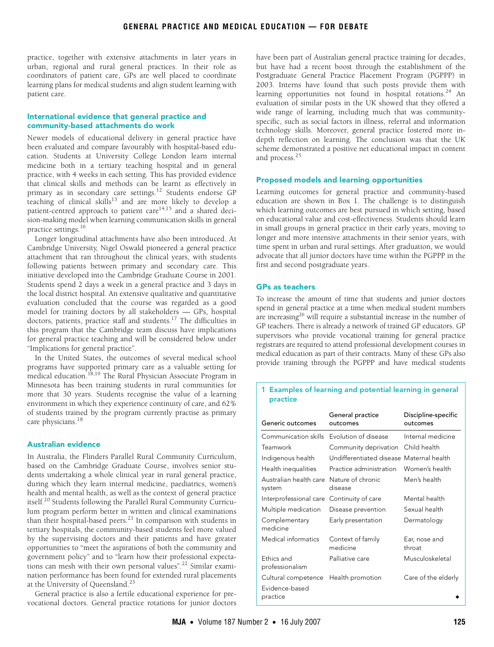practice, together with extensive attachments in later years in urban, regional and rural general practices. In their role as coordinators of patient care, GPs are well placed to coordinate learning plans for medical students and align student learning with patient care.

#### International evidence that general practice and community-based attachments do work

Newer models of educational delivery in general practice have been evaluated and compare favourably with hospital-based education. Students at University College London learn internal medicine both in a tertiary teaching hospital and in general practice, with 4 weeks in each setting. This has provided evidence that clinical skills and methods can be learnt as effectively in primary as in secondary care settings.<sup>12</sup> Students endorse GP teaching of clinical skills<sup>13</sup> and are more likely to develop a patient-centred approach to patient care<sup>14,15</sup> and a shared decision-making model when learning communication skills in general practice settings.<sup>16</sup>

Longer longitudinal attachments have also been introduced. At Cambridge University, Nigel Oswald pioneered a general practice attachment that ran throughout the clinical years, with students following patients between primary and secondary care. This initiative developed into the Cambridge Graduate Course in 2001. Students spend 2 days a week in a general practice and 3 days in the local district hospital. An extensive qualitative and quantitative evaluation concluded that the course was regarded as a good model for training doctors by all stakeholders — GPs, hospital doctors, patients, practice staff and students.17 The difficulties in this program that the Cambridge team discuss have implications for general practice teaching and will be considered below under "Implications for general practice".

In the United States, the outcomes of several medical school programs have supported primary care as a valuable setting for medical education.<sup>18,19</sup> The Rural Physician Associate Program in Minnesota has been training students in rural communities for more that 30 years. Students recognise the value of a learning environment in which they experience continuity of care, and 62% of students trained by the program currently practise as primary care physicians.<sup>18</sup>

#### Australian evidence

In Australia, the Flinders Parallel Rural Community Curriculum, based on the Cambridge Graduate Course, involves senior students undertaking a whole clinical year in rural general practice, during which they learn internal medicine, paediatrics, women's health and mental health, as well as the context of general practice itself.20 Students following the Parallel Rural Community Curriculum program perform better in written and clinical examinations than their hospital-based peers. $21$  In comparison with students in tertiary hospitals, the community-based students feel more valued by the supervising doctors and their patients and have greater opportunities to "meet the aspirations of both the community and government policy" and to "learn how their professional expectations can mesh with their own personal values".<sup>22</sup> Similar examination performance has been found for extended rural placements at the University of Queensland.<sup>23</sup>

General practice is also a fertile educational experience for prevocational doctors. General practice rotations for junior doctors have been part of Australian general practice training for decades, but have had a recent boost through the establishment of the Postgraduate General Practice Placement Program (PGPPP) in 2003. Interns have found that such posts provide them with learning opportunities not found in hospital rotations.<sup>24</sup> An evaluation of similar posts in the UK showed that they offered a wide range of learning, including much that was communityspecific, such as social factors in illness, referral and information technology skills. Moreover, general practice fostered more indepth reflection on learning. The conclusion was that the UK scheme demonstrated a positive net educational impact in content and process.25

# Proposed models and learning opportunities

Learning outcomes for general practice and community-based education are shown in Box 1. The challenge is to distinguish which learning outcomes are best pursued in which setting, based on educational value and cost-effectiveness. Students should learn in small groups in general practice in their early years, moving to longer and more intensive attachments in their senior years, with time spent in urban and rural settings. After graduation, we would advocate that all junior doctors have time within the PGPPP in the first and second postgraduate years.

# GPs as teachers

To increase the amount of time that students and junior doctors spend in general practice at a time when medical student numbers are increasing<sup>26</sup> will require a substantial increase in the number of GP teachers. There is already a network of trained GP educators. GP supervisors who provide vocational training for general practice registrars are required to attend professional development courses in medical education as part of their contracts. Many of these GPs also provide training through the PGPPP and have medical students

### 1 Examples of learning and potential learning in general practice

| Generic outcomes                 | General practice<br>outcomes             | Discipline-specific<br>outcomes |
|----------------------------------|------------------------------------------|---------------------------------|
| Communication skills             | Evolution of disease                     | Internal medicine               |
| Teamwork                         | Community deprivation                    | Child health                    |
| Indigenous health                | Undifferentiated disease Maternal health |                                 |
| Health inequalities              | Practice administration                  | Women's health                  |
| Australian health care<br>system | Nature of chronic<br>disease             | Men's health                    |
| Interprofessional care           | Continuity of care                       | Mental health                   |
| Multiple medication              | Disease prevention                       | Sexual health                   |
| Complementary<br>medicine        | Early presentation                       | Dermatology                     |
| Medical informatics              | Context of family<br>medicine            | Ear, nose and<br>throat         |
| Ethics and<br>professionalism    | Palliative care                          | Musculoskeletal                 |
| Cultural competence              | Health promotion                         | Care of the elderly             |
| Evidence-based<br>practice       |                                          |                                 |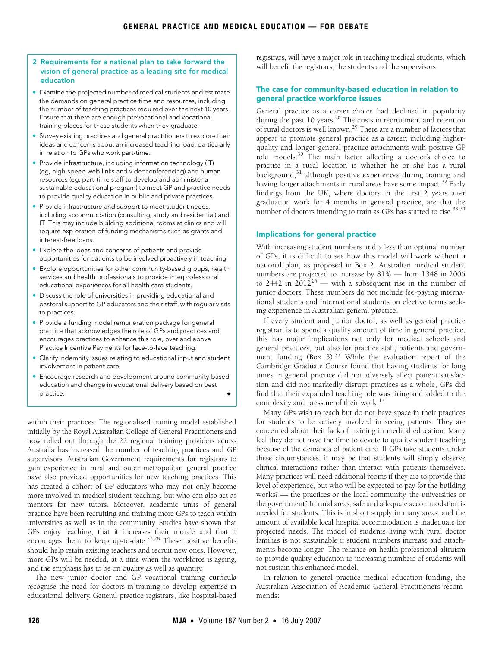- 2 Requirements for a national plan to take forward the vision of general practice as a leading site for medical education
- Examine the projected number of medical students and estimate the demands on general practice time and resources, including the number of teaching practices required over the next 10 years. Ensure that there are enough prevocational and vocational training places for these students when they graduate.
- Survey existing practices and general practitioners to explore their ideas and concerns about an increased teaching load, particularly in relation to GPs who work part-time.
- Provide infrastructure, including information technology (IT) (eg, high-speed web links and videoconferencing) and human resources (eg, part-time staff to develop and administer a sustainable educational program) to meet GP and practice needs to provide quality education in public and private practices.
- Provide infrastructure and support to meet student needs, including accommodation (consulting, study and residential) and IT. This may include building additional rooms at clinics and will require exploration of funding mechanisms such as grants and interest-free loans.
- Explore the ideas and concerns of patients and provide opportunities for patients to be involved proactively in teaching.
- Explore opportunities for other community-based groups, health services and health professionals to provide interprofessional educational experiences for all health care students.
- Discuss the role of universities in providing educational and pastoral support to GP educators and their staff, with regular visits to practices.
- Provide a funding model remuneration package for general practice that acknowledges the role of GPs and practices and encourages practices to enhance this role, over and above Practice Incentive Payments for face-to-face teaching.
- Clarify indemnity issues relating to educational input and student involvement in patient care.
- Encourage research and development around community-based education and change in educational delivery based on best practice.

within their practices. The regionalised training model established initially by the Royal Australian College of General Practitioners and now rolled out through the 22 regional training providers across Australia has increased the number of teaching practices and GP supervisors. Australian Government requirements for registrars to gain experience in rural and outer metropolitan general practice have also provided opportunities for new teaching practices. This has created a cohort of GP educators who may not only become more involved in medical student teaching, but who can also act as mentors for new tutors. Moreover, academic units of general practice have been recruiting and training more GPs to teach within universities as well as in the community. Studies have shown that GPs enjoy teaching, that it increases their morale and that it encourages them to keep up-to-date. $27,28$  These positive benefits should help retain existing teachers and recruit new ones. However, more GPs will be needed, at a time when the workforce is ageing, and the emphasis has to be on quality as well as quantity.

The new junior doctor and GP vocational training curricula recognise the need for doctors-in-training to develop expertise in educational delivery. General practice registrars, like hospital-based

registrars, will have a major role in teaching medical students, which will benefit the registrars, the students and the supervisors.

# The case for community-based education in relation to general practice workforce issues

General practice as a career choice had declined in popularity during the past 10 years.<sup>26</sup> The crisis in recruitment and retention of rural doctors is well known.29 There are a number of factors that appear to promote general practice as a career, including higherquality and longer general practice attachments with positive GP role models.30 The main factor affecting a doctor's choice to practise in a rural location is whether he or she has a rural background,<sup>31</sup> although positive experiences during training and having longer attachments in rural areas have some impact.<sup>32</sup> Early findings from the UK, where doctors in the first 2 years after graduation work for 4 months in general practice, are that the number of doctors intending to train as GPs has started to rise.<sup>33,34</sup>

#### Implications for general practice

With increasing student numbers and a less than optimal number of GPs, it is difficult to see how this model will work without a national plan, as proposed in Box 2. Australian medical student numbers are projected to increase by 81% — from 1348 in 2005 to 2442 in  $2012^{26}$  — with a subsequent rise in the number of junior doctors. These numbers do not include fee-paying international students and international students on elective terms seeking experience in Australian general practice.

If every student and junior doctor, as well as general practice registrar, is to spend a quality amount of time in general practice, this has major implications not only for medical schools and general practices, but also for practice staff, patients and government funding  $(Box 3)$ .<sup>35</sup> While the evaluation report of the Cambridge Graduate Course found that having students for long times in general practice did not adversely affect patient satisfaction and did not markedly disrupt practices as a whole, GPs did find that their expanded teaching role was tiring and added to the complexity and pressure of their work.17

Many GPs wish to teach but do not have space in their practices for students to be actively involved in seeing patients. They are concerned about their lack of training in medical education. Many feel they do not have the time to devote to quality student teaching because of the demands of patient care. If GPs take students under these circumstances, it may be that students will simply observe clinical interactions rather than interact with patients themselves. Many practices will need additional rooms if they are to provide this level of experience, but who will be expected to pay for the building works? — the practices or the local community, the universities or the government? In rural areas, safe and adequate accommodation is needed for students. This is in short supply in many areas, and the amount of available local hospital accommodation is inadequate for projected needs. The model of students living with rural doctor families is not sustainable if student numbers increase and attachments become longer. The reliance on health professional altruism to provide quality education to increasing numbers of students will not sustain this enhanced model.

In relation to general practice medical education funding, the Australian Association of Academic General Practitioners recommends: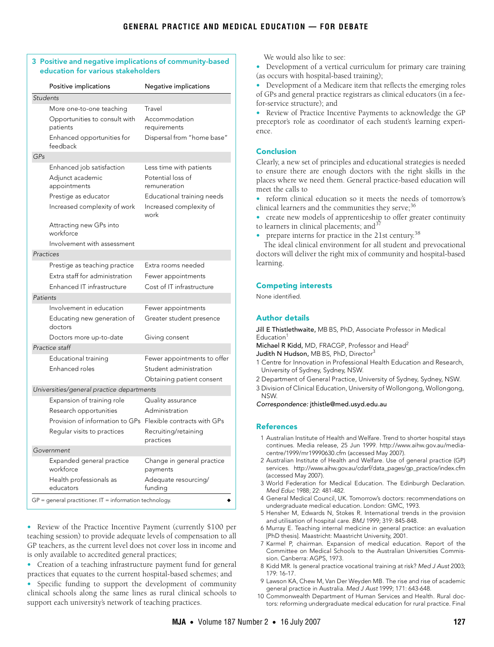|                 | Positive implications                                       | Negative implications                  |
|-----------------|-------------------------------------------------------------|----------------------------------------|
| <b>Students</b> |                                                             |                                        |
|                 | More one-to-one teaching                                    | Travel                                 |
|                 | Opportunities to consult with<br>patients                   | Accommodation<br>requirements          |
|                 | Enhanced opportunities for<br>feedback                      | Dispersal from "home base"             |
| GPs             |                                                             |                                        |
|                 | Enhanced job satisfaction                                   | Less time with patients                |
|                 | Adjunct academic<br>appointments                            | Potential loss of<br>remuneration      |
|                 | Prestige as educator                                        | Educational training needs             |
|                 | Increased complexity of work                                | Increased complexity of<br>work        |
|                 | Attracting new GPs into<br>workforce                        |                                        |
|                 | Involvement with assessment                                 |                                        |
| Practices       |                                                             |                                        |
|                 | Prestige as teaching practice                               | Extra rooms needed                     |
|                 | Extra staff for administration                              | Fewer appointments                     |
|                 | Enhanced IT infrastructure                                  | Cost of IT infrastructure              |
| Patients        |                                                             |                                        |
|                 | Involvement in education                                    | Fewer appointments                     |
|                 | Educating new generation of<br>doctors                      | Greater student presence               |
|                 | Doctors more up-to-date                                     | Giving consent                         |
| Practice staff  |                                                             |                                        |
|                 | Educational training                                        | Fewer appointments to offer            |
|                 | Enhanced roles                                              | Student administration                 |
|                 |                                                             | Obtaining patient consent              |
|                 | Universities/general practice departments                   |                                        |
|                 | Expansion of training role                                  | Quality assurance                      |
|                 | Research opportunities                                      | Administration                         |
|                 | Provision of information to GPs Flexible contracts with GPs |                                        |
|                 | Regular visits to practices                                 | Recruiting/retaining<br>practices      |
| Government      |                                                             |                                        |
|                 | Expanded general practice<br>workforce                      | Change in general practice<br>payments |
|                 | Health professionals as<br>educators                        | Adequate resourcing/<br>fundina        |

• Review of the Practice Incentive Payment (currently \$100 per teaching session) to provide adequate levels of compensation to all GP teachers, as the current level does not cover loss in income and is only available to accredited general practices;

• Creation of a teaching infrastructure payment fund for general practices that equates to the current hospital-based schemes; and

• Specific funding to support the development of community clinical schools along the same lines as rural clinical schools to support each university's network of teaching practices.

We would also like to see:

• Development of a vertical curriculum for primary care training (as occurs with hospital-based training);

• Development of a Medicare item that reflects the emerging roles of GPs and general practice registrars as clinical educators (in a feefor-service structure); and

• Review of Practice Incentive Payments to acknowledge the GP preceptor's role as coordinator of each student's learning experience.

# Conclusion

Clearly, a new set of principles and educational strategies is needed to ensure there are enough doctors with the right skills in the places where we need them. General practice-based education will meet the calls to

• reform clinical education so it meets the needs of tomorrow's clinical learners and the communities they serve; $36$ 

• create new models of apprenticeship to offer greater continuity to learners in clinical placements; and  $37$ 

• prepare interns for practice in the 21st century.<sup>[38](#page-4-0)</sup>

The ideal clinical environment for all student and prevocational doctors will deliver the right mix of community and hospital-based learning.

## Competing interests

None identified.

# Author details

Jill E Thistlethwaite, MB BS, PhD, Associate Professor in Medical Education<sup>1</sup>

Michael R Kidd, MD, FRACGP, Professor and Head<sup>2</sup>

Judith N Hudson, MB BS, PhD, Director<sup>3</sup>

- 1 Centre for Innovation in Professional Health Education and Research, University of Sydney, Sydney, NSW.
- 2 Department of General Practice, University of Sydney, Sydney, NSW.

3 Division of Clinical Education, University of Wollongong, Wollongong, NSW.

Correspondence: jthistle@med.usyd.edu.au

# References

- 1 Australian Institute of Health and Welfare. Trend to shorter hospital stays continues. Media release, 25 Jun 1999. http://www.aihw.gov.au/mediacentre/1999/mr19990630.cfm (accessed May 2007).
- 2 Australian Institute of Health and Welfare. Use of general practice (GP) services. http://www.aihw.gov.au/cdarf/data\_pages/gp\_practice/index.cfm (accessed May 2007).
- 3 World Federation for Medical Education. The Edinburgh Declaration. Med Educ 1988; 22: 481-482.
- 4 General Medical Council, UK. Tomorrow's doctors: recommendations on undergraduate medical education. London: GMC, 1993.
- 5 Hensher M, Edwards N, Stokes R. International trends in the provision and utilisation of hospital care. BMJ 1999; 319: 845-848.
- 6 Murray E. Teaching internal medicine in general practice: an evaluation [PhD thesis]. Maastricht: Maastricht University, 2001.
- 7 Karmel P, chairman. Expansion of medical education. Report of the Committee on Medical Schools to the Australian Universities Commission. Canberra: AGPS, 1973.
- <span id="page-3-0"></span>8 Kidd MR. Is general practice vocational training at risk? Med J Aust 2003; 179: 16-17.
- <span id="page-3-1"></span>9 Lawson KA, Chew M, Van Der Weyden MB. The rise and rise of academic general practice in Australia. Med J Aust 1999; 171: 643-648.
- 10 Commonwealth Department of Human Services and Health. Rural doctors: reforming undergraduate medical education for rural practice. Final